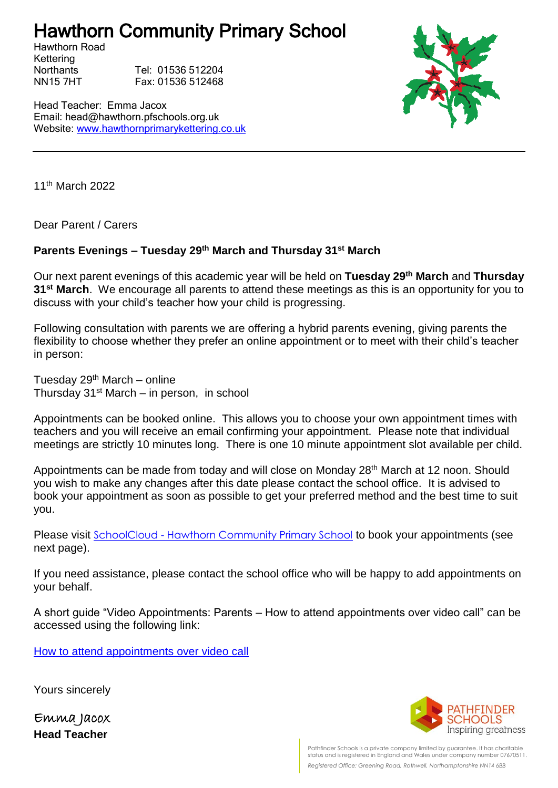## Hawthorn Community Primary School

Hawthorn Road Kettering

Northants Tel: 01536 512204 NN15 7HT Fax: 01536 512468

Head Teacher: Emma Jacox Email: head@hawthorn.pfschools.org.uk Website: [www.hawthornprimarykettering.co.uk](http://www.hawthornprimarykettering.co.uk/)



11th March 2022

Dear Parent / Carers

## **Parents Evenings – Tuesday 29th March and Thursday 31st March**

Our next parent evenings of this academic year will be held on **Tuesday 29th March** and **Thursday 31st March**. We encourage all parents to attend these meetings as this is an opportunity for you to discuss with your child's teacher how your child is progressing.

Following consultation with parents we are offering a hybrid parents evening, giving parents the flexibility to choose whether they prefer an online appointment or to meet with their child's teacher in person:

Tuesday  $29<sup>th</sup>$  March – online Thursday  $31<sup>st</sup>$  March – in person, in school

Appointments can be booked online. This allows you to choose your own appointment times with teachers and you will receive an email confirming your appointment. Please note that individual meetings are strictly 10 minutes long. There is one 10 minute appointment slot available per child.

Appointments can be made from today and will close on Monday 28<sup>th</sup> March at 12 noon. Should you wish to make any changes after this date please contact the school office. It is advised to book your appointment as soon as possible to get your preferred method and the best time to suit you.

Please visit SchoolCloud - [Hawthorn Community Primary School](https://hawthorn.schoolcloud.co.uk/) to book your appointments (see next page).

If you need assistance, please contact the school office who will be happy to add appointments on your behalf.

A short guide "Video Appointments: Parents – How to attend appointments over video call" can be accessed using the following link:

[How to attend appointments over video call](https://support.parentseveningsystem.co.uk/article/801-video-parents-how-to-attend-appointments-over-video-call)

Yours sincerely

Emma Jacox **Head Teacher**



Pathfinder Schools is a private company limited by guarantee. It has charitable status and is registered in England and Wales under company number 07670511. *Registered Office: Greening Road, Rothwell, Northamptonshire NN14 6BB*